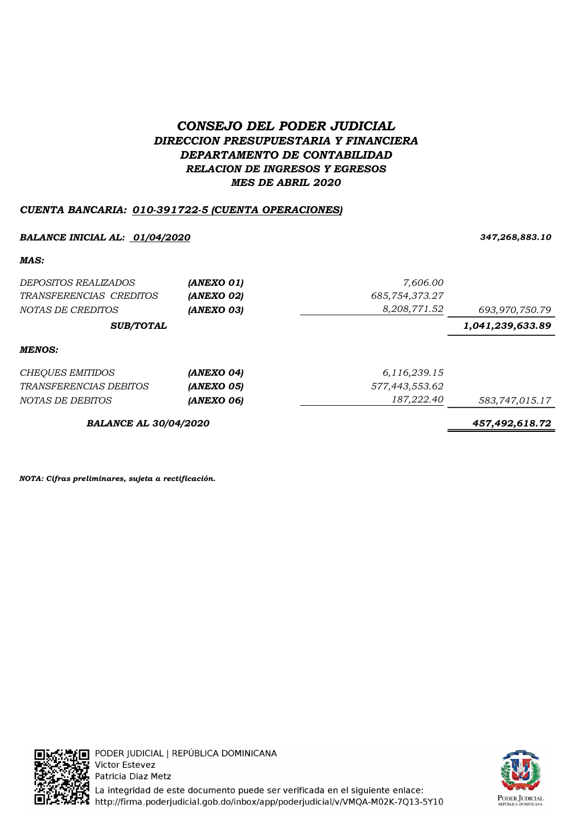# CONSEJO DEL PODER JUDICIAL DIRECCION PRESUPUESTARIA Y FINANCIERA DEPARTAMENTO DE CONTABILIDAD RELACION DE INGRESOS Y EGRESOS MES DE ABRIL 2020

## CUENTA BANCARIA: 010-391722-5 (CUENTA OPERACIONES)

#### BALANCE INICIAL AL: <u>01/04/2020</u> 347,268,883.10

MAS:

| <i>DEPOSITOS REALIZADOS</i><br>TRANSFERENCIAS CREDITOS<br>NOTAS DE CREDITOS | (ANEXO 01)<br>(ANEXO 02)<br>(ANEXO 03) | 7,606.00<br>685,754,373.27<br>8,208,771.52 | 693,970,750.79   |
|-----------------------------------------------------------------------------|----------------------------------------|--------------------------------------------|------------------|
| <b>SUB/TOTAL</b>                                                            |                                        |                                            | 1,041,239,633.89 |
| MENOS:                                                                      |                                        |                                            |                  |
| <b>CHEQUES EMITIDOS</b>                                                     | (ANEXO 04)                             | 6,116,239.15                               |                  |
| <b>TRANSFERENCIAS DEBITOS</b>                                               | (ANEXO 05)                             | 577,443,553.62                             |                  |
| NOTAS DE DEBITOS                                                            | (ANEXO 06)                             | 187,222.40                                 | 583,747,015.17   |
| <b>BALANCE AL 30/04/2020</b>                                                |                                        |                                            | 457,492,618.72   |

NOTA: Cifras preliminares, sujeta a rectificación.



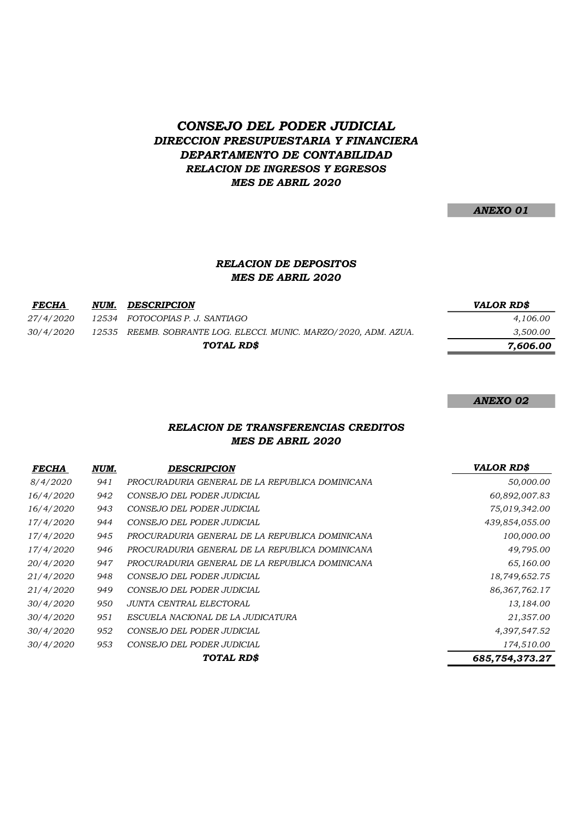## CONSEJO DEL PODER JUDICIAL DIRECCION PRESUPUESTARIA Y FINANCIERA DEPARTAMENTO DE CONTABILIDAD RELACION DE INGRESOS Y EGRESOS MES DE ABRIL 2020

ANEXO 01

## RELACION DE DEPOSITOS MES DE ABRIL 2020

| DESCRIPCION | <b>VALOR RD\$</b>                                                                                   |
|-------------|-----------------------------------------------------------------------------------------------------|
|             | 4.106.00                                                                                            |
|             | 3,500.00                                                                                            |
| TOTAL RD\$  | 7.606.00                                                                                            |
| NUM.        | 12534 FOTOCOPIAS P. J. SANTIAGO<br>12535 REEMB. SOBRANTE LOG. ELECCI. MUNIC. MARZO/2020, ADM. AZUA. |

#### ANEXO 02

#### RELACION DE TRANSFERENCIAS CREDITOS MES DE ABRIL 2020

| <b>FECHA</b>     | NUM. | <b>DESCRIPCION</b>                              | <b>VALOR RD\$</b> |
|------------------|------|-------------------------------------------------|-------------------|
| <i>8/4/2020</i>  | 941  | PROCURADURIA GENERAL DE LA REPUBLICA DOMINICANA | 50,000.00         |
| 16/4/2020        | 942  | CONSEJO DEL PODER JUDICIAL                      | 60,892,007.83     |
| 16/4/2020        | 943  | CONSEJO DEL PODER JUDICIAL                      | 75,019,342.00     |
| 17/4/2020        | 944  | CONSEJO DEL PODER JUDICIAL                      | 439,854,055.00    |
| 17/4/2020        | 945  | PROCURADURIA GENERAL DE LA REPUBLICA DOMINICANA | 100,000.00        |
| 17/4/2020        | 946  | PROCURADURIA GENERAL DE LA REPUBLICA DOMINICANA | 49,795.00         |
| 20/4/2020        | 947  | PROCURADURIA GENERAL DE LA REPUBLICA DOMINICANA | 65,160.00         |
| 21/4/2020        | 948  | CONSEJO DEL PODER JUDICIAL                      | 18,749,652.75     |
| 21/4/2020        | 949  | CONSEJO DEL PODER JUDICIAL                      | 86, 367, 762. 17  |
| 30/4/2020        | 950  | JUNTA CENTRAL ELECTORAL                         | 13,184.00         |
| 30/4/2020        | 951  | ESCUELA NACIONAL DE LA JUDICATURA               | 21,357.00         |
| 30/4/2020        | 952  | CONSEJO DEL PODER JUDICIAL                      | 4,397,547.52      |
| <i>30/4/2020</i> | 953  | CONSEJO DEL PODER JUDICIAL                      | 174,510.00        |
|                  |      | TOTAL RD\$                                      | 685,754,373.27    |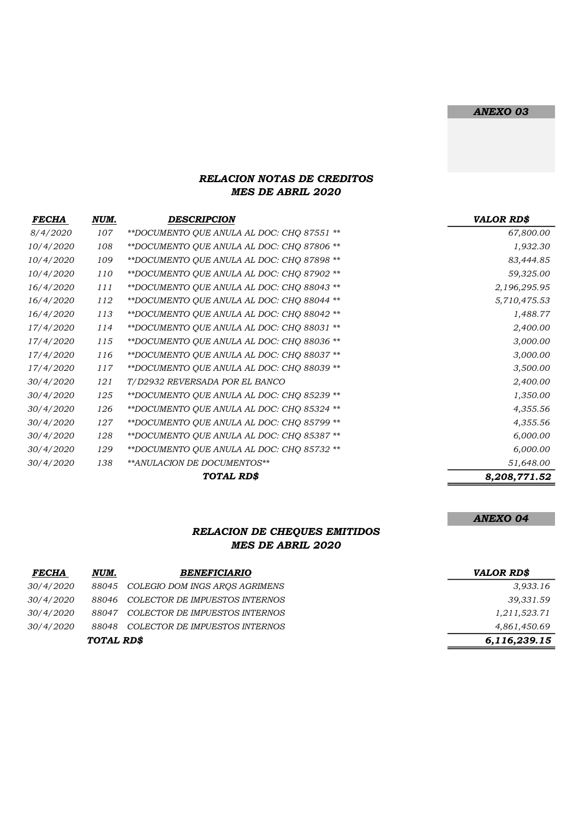#### ANEXO 03

ANEXO 04

#### RELACION NOTAS DE CREDITOS MES DE ABRIL 2020

| <b>FECHA</b>     | NUM. | <b>DESCRIPCION</b>                         | <b>VALOR RD\$</b> |
|------------------|------|--------------------------------------------|-------------------|
| 8/4/2020         | 107  | **DOCUMENTO QUE ANULA AL DOC: CHQ 87551 ** | 67,800.00         |
| 10/4/2020        | 108  | **DOCUMENTO QUE ANULA AL DOC: CHQ 87806 ** | 1,932.30          |
| 10/4/2020        | 109  | **DOCUMENTO QUE ANULA AL DOC: CHQ 87898 ** | 83,444.85         |
| 10/4/2020        | 110  | **DOCUMENTO QUE ANULA AL DOC: CHQ 87902 ** | 59,325.00         |
| 16/4/2020        | 111  | **DOCUMENTO QUE ANULA AL DOC: CHQ 88043 ** | 2,196,295.95      |
| 16/4/2020        | 112  | **DOCUMENTO QUE ANULA AL DOC: CHQ 88044 ** | 5,710,475.53      |
| 16/4/2020        | 113  | **DOCUMENTO QUE ANULA AL DOC: CHQ 88042 ** | 1,488.77          |
| 17/4/2020        | 114  | **DOCUMENTO QUE ANULA AL DOC: CHQ 88031 ** | 2,400.00          |
| 17/4/2020        | 115  | **DOCUMENTO QUE ANULA AL DOC: CHQ 88036 ** | 3,000.00          |
| 17/4/2020        | 116  | **DOCUMENTO QUE ANULA AL DOC: CHQ 88037 ** | 3,000.00          |
| 17/4/2020        | 117  | **DOCUMENTO QUE ANULA AL DOC: CHQ 88039 ** | 3,500.00          |
| 30/4/2020        | 121  | T/D2932 REVERSADA POR EL BANCO             | 2,400.00          |
| 30/4/2020        | 125  | **DOCUMENTO QUE ANULA AL DOC: CHQ 85239 ** | 1,350.00          |
| 30/4/2020        | 126  | **DOCUMENTO QUE ANULA AL DOC: CHQ 85324 ** | 4,355.56          |
| 30/4/2020        | 127  | **DOCUMENTO QUE ANULA AL DOC: CHQ 85799 ** | 4,355.56          |
| 30/4/2020        | 128  | **DOCUMENTO QUE ANULA AL DOC: CHQ 85387 ** | 6,000.00          |
| 30/4/2020        | 129  | **DOCUMENTO QUE ANULA AL DOC: CHQ 85732 ** | 6,000.00          |
| <i>30/4/2020</i> | 138  | ** ANULACION DE DOCUMENTOS**               | 51,648.00         |
|                  |      | TOTAL RD\$                                 | 8,208,771.52      |

#### RELACION DE CHEQUES EMITIDOS MES DE ABRIL 2020

| <b>FECHA</b>     | NUM.       | <i><b>BENEFICIARIO</b></i>     | <b>VALOR RD\$</b> |
|------------------|------------|--------------------------------|-------------------|
| <i>30/4/2020</i> | 88045      | COLEGIO DOM INGS AROS AGRIMENS | 3,933.16          |
| <i>30/4/2020</i> | 88046      | COLECTOR DE IMPUESTOS INTERNOS | 39,331.59         |
| <i>30/4/2020</i> | 88047      | COLECTOR DE IMPUESTOS INTERNOS | 1,211,523.71      |
| 30/4/2020        | 88048      | COLECTOR DE IMPUESTOS INTERNOS | 4,861,450.69      |
|                  | TOTAL RD\$ |                                | 6,116,239.15      |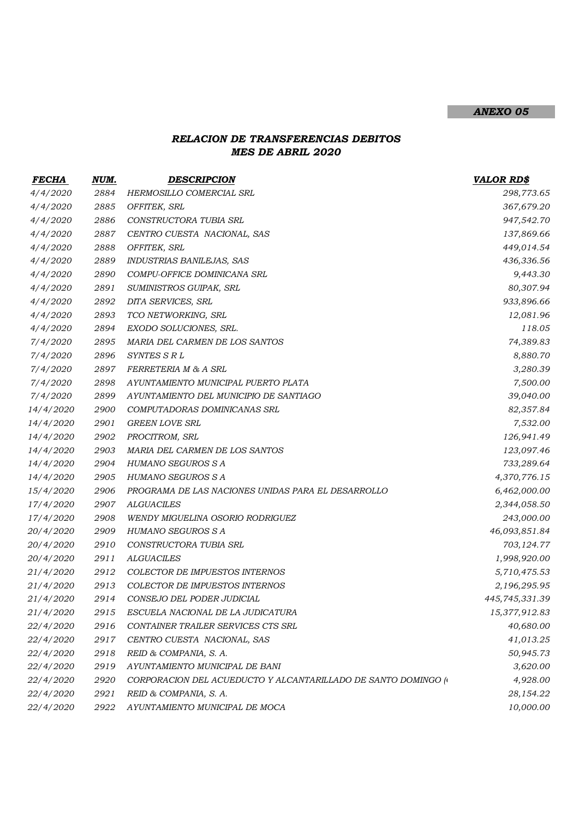### ANEXO 05

## RELACION DE TRANSFERENCIAS DEBITOS MES DE ABRIL 2020

| FECHA            | NUM. | <b>DESCRIPCION</b>                                             | <b>VALOR RD\$</b> |
|------------------|------|----------------------------------------------------------------|-------------------|
| 4/4/2020         | 2884 | HERMOSILLO COMERCIAL SRL                                       | 298,773.65        |
| 4/4/2020         | 2885 | OFFITEK, SRL                                                   | 367,679.20        |
| 4/4/2020         | 2886 | CONSTRUCTORA TUBIA SRL                                         | 947,542.70        |
| 4/4/2020         | 2887 | CENTRO CUESTA NACIONAL, SAS                                    | 137,869.66        |
| 4/4/2020         | 2888 | OFFITEK, SRL                                                   | 449,014.54        |
| 4/4/2020         | 2889 | INDUSTRIAS BANILEJAS, SAS                                      | 436,336.56        |
| 4/4/2020         | 2890 | COMPU-OFFICE DOMINICANA SRL                                    | 9,443.30          |
| 4/4/2020         | 2891 | SUMINISTROS GUIPAK, SRL                                        | 80,307.94         |
| 4/4/2020         | 2892 | DITA SERVICES, SRL                                             | 933,896.66        |
| 4/4/2020         | 2893 | TCO NETWORKING, SRL                                            | 12,081.96         |
| 4/4/2020         | 2894 | EXODO SOLUCIONES, SRL.                                         | 118.05            |
| 7/4/2020         | 2895 | MARIA DEL CARMEN DE LOS SANTOS                                 | 74,389.83         |
| 7/4/2020         | 2896 | SYNTES S R L                                                   | 8,880.70          |
| 7/4/2020         | 2897 | FERRETERIA M & A SRL                                           | 3,280.39          |
| 7/4/2020         | 2898 | AYUNTAMIENTO MUNICIPAL PUERTO PLATA                            | 7,500.00          |
| 7/4/2020         | 2899 | AYUNTAMIENTO DEL MUNICIPIO DE SANTIAGO                         | 39,040.00         |
| 14/4/2020        | 2900 | COMPUTADORAS DOMINICANAS SRL                                   | 82,357.84         |
| 14/4/2020        | 2901 | <b>GREEN LOVE SRL</b>                                          | 7,532.00          |
| 14/4/2020        | 2902 | PROCITROM, SRL                                                 | 126,941.49        |
| 14/4/2020        | 2903 | MARIA DEL CARMEN DE LOS SANTOS                                 | 123,097.46        |
| 14/4/2020        | 2904 | <b>HUMANO SEGUROS S A</b>                                      | 733,289.64        |
| 14/4/2020        | 2905 | <b>HUMANO SEGUROS S A</b>                                      | 4,370,776.15      |
| 15/4/2020        | 2906 | PROGRAMA DE LAS NACIONES UNIDAS PARA EL DESARROLLO             | 6,462,000.00      |
| 17/4/2020        | 2907 | <b>ALGUACILES</b>                                              | 2,344,058.50      |
| 17/4/2020        | 2908 | WENDY MIGUELINA OSORIO RODRIGUEZ                               | 243,000.00        |
| <i>20/4/2020</i> | 2909 | HUMANO SEGUROS S A                                             | 46,093,851.84     |
| <i>20/4/2020</i> | 2910 | CONSTRUCTORA TUBIA SRL                                         | 703,124.77        |
| 20/4/2020        | 2911 | <b>ALGUACILES</b>                                              | 1,998,920.00      |
| <i>21/4/2020</i> | 2912 | COLECTOR DE IMPUESTOS INTERNOS                                 | 5,710,475.53      |
| <i>21/4/2020</i> | 2913 | COLECTOR DE IMPUESTOS INTERNOS                                 | 2,196,295.95      |
| <i>21/4/2020</i> | 2914 | CONSEJO DEL PODER JUDICIAL                                     | 445,745,331.39    |
| <i>21/4/2020</i> | 2915 | ESCUELA NACIONAL DE LA JUDICATURA                              | 15,377,912.83     |
| 22/4/2020        | 2916 | CONTAINER TRAILER SERVICES CTS SRL                             | 40,680.00         |
| <i>22/4/2020</i> | 2917 | CENTRO CUESTA NACIONAL, SAS                                    | 41,013.25         |
| <i>22/4/2020</i> | 2918 | REID & COMPANIA, S. A.                                         | 50,945.73         |
| <i>22/4/2020</i> | 2919 | AYUNTAMIENTO MUNICIPAL DE BANI                                 | 3,620.00          |
| <i>22/4/2020</i> | 2920 | CORPORACION DEL ACUEDUCTO Y ALCANTARILLADO DE SANTO DOMINGO (* | 4,928.00          |
| 22/4/2020        | 2921 | REID & COMPANIA, S. A.                                         | 28,154.22         |
| 22/4/2020        | 2922 | AYUNTAMIENTO MUNICIPAL DE MOCA                                 | 10,000.00         |